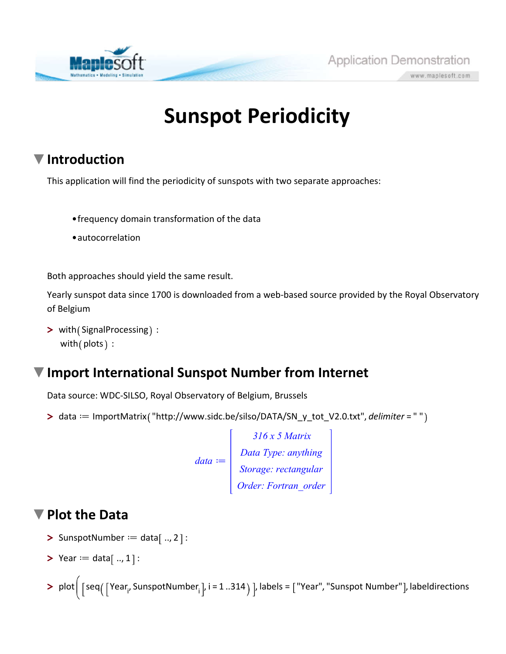

# **Sunspot Periodicity**

Application Demonstration

www.maplesoft.com

## **Introduction**

This application will find the periodicity of sunspots with two separate approaches:

- frequency domain transformation of the data
- autocorrelation

Both approaches should yield the same result.

Yearly sunspot data since 1700 is downloaded from a web-based source provided by the Royal Observatory of Belgium

> with (SignalProcessing) : with  $($  plots  $):$ 

### **Import International Sunspot Number from Internet**

Data source: WDC-SILSO, Royal Observatory of Belgium, Brussels

> data == ImportMatrix("http://www.sidc.be/silso/DATA/SN\_y\_tot\_V2.0.txt", *delimiter* = " "

 $data :=$ *316 x 5 Matrix Data Type: anything Storage: rectangular Order: Fortran\_order*

#### **Plot the Data**

- $\triangleright$  SunspotNumber  $:=$  data[.., 2]:
- **>** Year  $:=$  data  $[$  .., 1  $]:$
- > plot $\big|$  [seq $(\big\lceil { {\rm Year}_{\sf i'}}, {{\rm SunspotNumber}_{\sf i}} \big\rceil$ , i = 1 ..314  $)$  ], labels = ["Year", "Sunspot Number"], labeldirections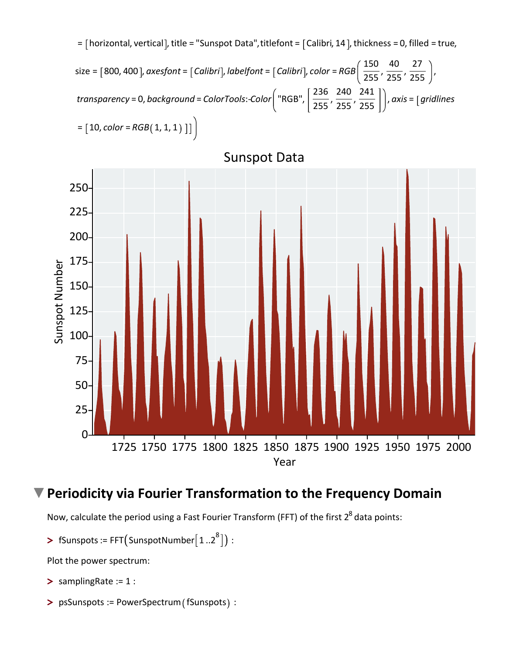



Sunspot Data

#### **Periodicity via Fourier Transformation to the Frequency Domain**

Now, calculate the period using a Fast Fourier Transform (FFT) of the first  $2^8$  data points:

 $\blacktriangleright$  fSunspots := FFT(SunspotNumber $\lceil 1..2^8 \rceil)$  :

Plot the power spectrum:

- **>** samplingRate := 1 :
- > psSunspots := PowerSpectrum (fSunspots) :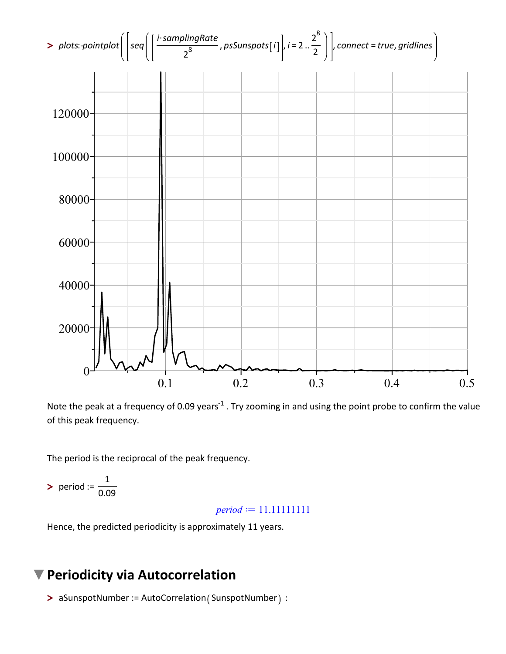

Note the peak at a frequency of 0.09 years<sup>-1</sup> . Try zooming in and using the point probe to confirm the value of this peak frequency.

The period is the reciprocal of the peak frequency.

**>** period :=  $\frac{1}{0.09}$ 

 $period := 11.11111111$ 

Hence, the predicted periodicity is approximately 11 years.

#### **Periodicity via Autocorrelation**

> aSunspotNumber := AutoCorrelation (SunspotNumber) :